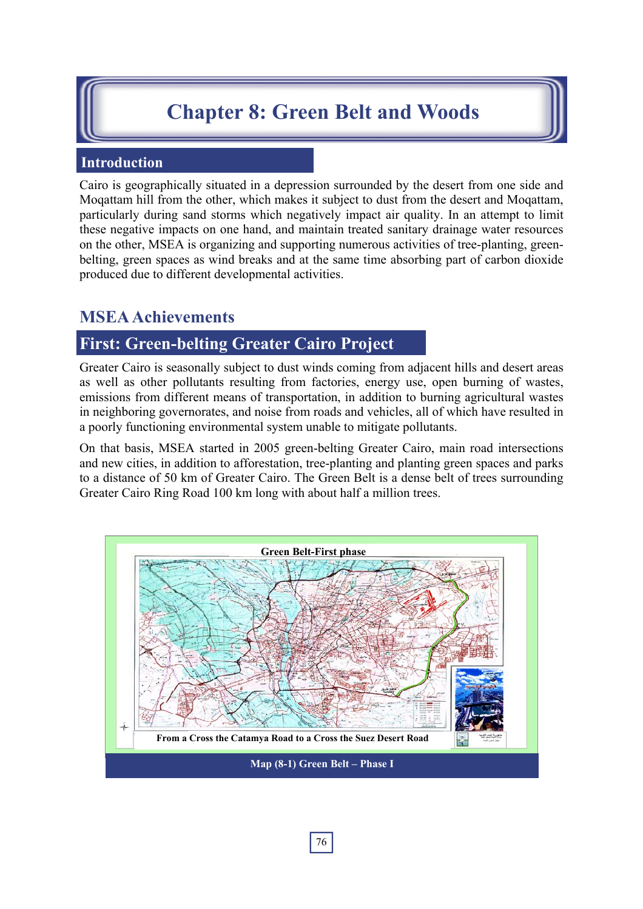# **Chapter 8: Green Belt and Woods**

### **Introduction**

Cairo is geographically situated in a depression surrounded by the desert from one side and Moqattam hill from the other, which makes it subject to dust from the desert and Moqattam, particularly during sand storms which negatively impact air quality. In an attempt to limit these negative impacts on one hand, and maintain treated sanitary drainage water resources on the other, MSEA is organizing and supporting numerous activities of tree-planting, greenbelting, green spaces as wind breaks and at the same time absorbing part of carbon dioxide produced due to different developmental activities.

## **MSEA Achievements**

## **First: Green-belting Greater Cairo Project**

Greater Cairo is seasonally subject to dust winds coming from adjacent hills and desert areas as well as other pollutants resulting from factories, energy use, open burning of wastes, emissions from different means of transportation, in addition to burning agricultural wastes in neighboring governorates, and noise from roads and vehicles, all of which have resulted in a poorly functioning environmental system unable to mitigate pollutants.

On that basis, MSEA started in 2005 green-belting Greater Cairo, main road intersections and new cities, in addition to afforestation, tree-planting and planting green spaces and parks to a distance of 50 km of Greater Cairo. The Green Belt is a dense belt of trees surrounding Greater Cairo Ring Road 100 km long with about half a million trees.

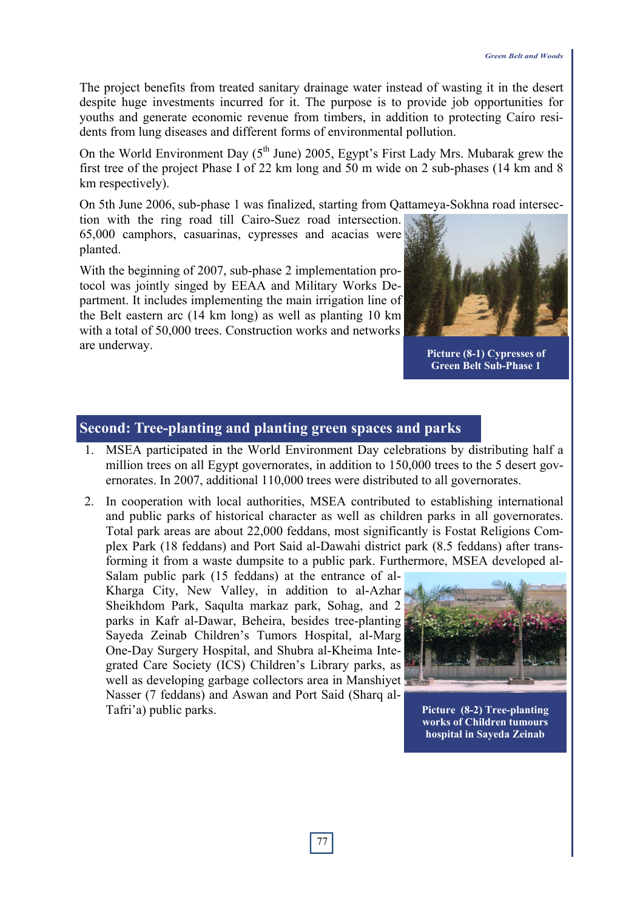The project benefits from treated sanitary drainage water instead of wasting it in the desert despite huge investments incurred for it. The purpose is to provide job opportunities for youths and generate economic revenue from timbers, in addition to protecting Cairo residents from lung diseases and different forms of environmental pollution.

On the World Environment Day  $(5<sup>th</sup> June)$  2005, Egypt's First Lady Mrs. Mubarak grew the first tree of the project Phase I of 22 km long and 50 m wide on 2 sub-phases (14 km and 8 km respectively).

On 5th June 2006, sub-phase 1 was finalized, starting from Qattameya-Sokhna road intersection with the ring road till Cairo-Suez road intersection.

65,000 camphors, casuarinas, cypresses and acacias were planted.

With the beginning of 2007, sub-phase 2 implementation protocol was jointly singed by EEAA and Military Works Department. It includes implementing the main irrigation line of the Belt eastern arc (14 km long) as well as planting 10 km with a total of 50,000 trees. Construction works and networks are underway.



**Picture (8-1) Cypresses of Green Belt Sub-Phase 1**

### **Second: Tree-planting and planting green spaces and parks**

- 1. MSEA participated in the World Environment Day celebrations by distributing half a million trees on all Egypt governorates, in addition to 150,000 trees to the 5 desert governorates. In 2007, additional 110,000 trees were distributed to all governorates.
- 2. In cooperation with local authorities, MSEA contributed to establishing international and public parks of historical character as well as children parks in all governorates. Total park areas are about 22,000 feddans, most significantly is Fostat Religions Complex Park (18 feddans) and Port Said al-Dawahi district park (8.5 feddans) after transforming it from a waste dumpsite to a public park. Furthermore, MSEA developed al-

Salam public park (15 feddans) at the entrance of al-Kharga City, New Valley, in addition to al-Azhar Sheikhdom Park, Saqulta markaz park, Sohag, and 2 parks in Kafr al-Dawar, Beheira, besides tree-planting Sayeda Zeinab Children's Tumors Hospital, al-Marg One-Day Surgery Hospital, and Shubra al-Kheima Integrated Care Society (ICS) Children's Library parks, as well as developing garbage collectors area in Manshiyet Nasser (7 feddans) and Aswan and Port Said (Sharq al-Tafri'a) public parks.



**Picture (8-2) Tree-planting works of Children tumours hospital in Sayeda Zeinab**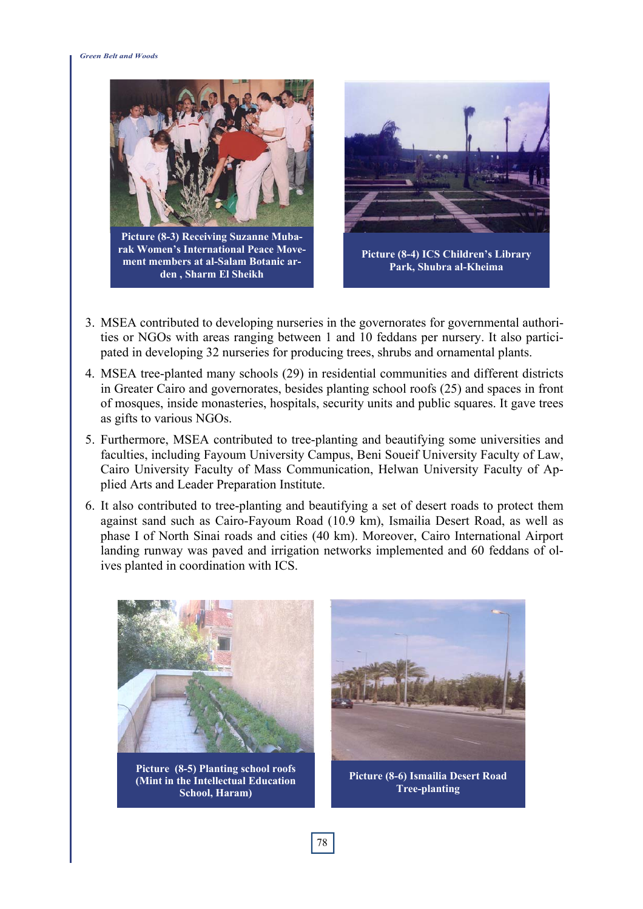#### *Green Belt and Woods*



**Picture (8-3) Receiving Suzanne Mubarak Women's International Peace Movement members at al-Salam Botanic arden , Sharm El Sheikh** 



- 3. MSEA contributed to developing nurseries in the governorates for governmental authorities or NGOs with areas ranging between 1 and 10 feddans per nursery. It also participated in developing 32 nurseries for producing trees, shrubs and ornamental plants.
- 4. MSEA tree-planted many schools (29) in residential communities and different districts in Greater Cairo and governorates, besides planting school roofs (25) and spaces in front of mosques, inside monasteries, hospitals, security units and public squares. It gave trees as gifts to various NGOs.
- 5. Furthermore, MSEA contributed to tree-planting and beautifying some universities and faculties, including Fayoum University Campus, Beni Soueif University Faculty of Law, Cairo University Faculty of Mass Communication, Helwan University Faculty of Applied Arts and Leader Preparation Institute.
- 6. It also contributed to tree-planting and beautifying a set of desert roads to protect them against sand such as Cairo-Fayoum Road (10.9 km), Ismailia Desert Road, as well as phase I of North Sinai roads and cities (40 km). Moreover, Cairo International Airport landing runway was paved and irrigation networks implemented and 60 feddans of olives planted in coordination with ICS.



**Picture (8-5) Planting school roofs (Mint in the Intellectual Education School, Haram)** 



**Picture (8-6) Ismailia Desert Road Tree-planting**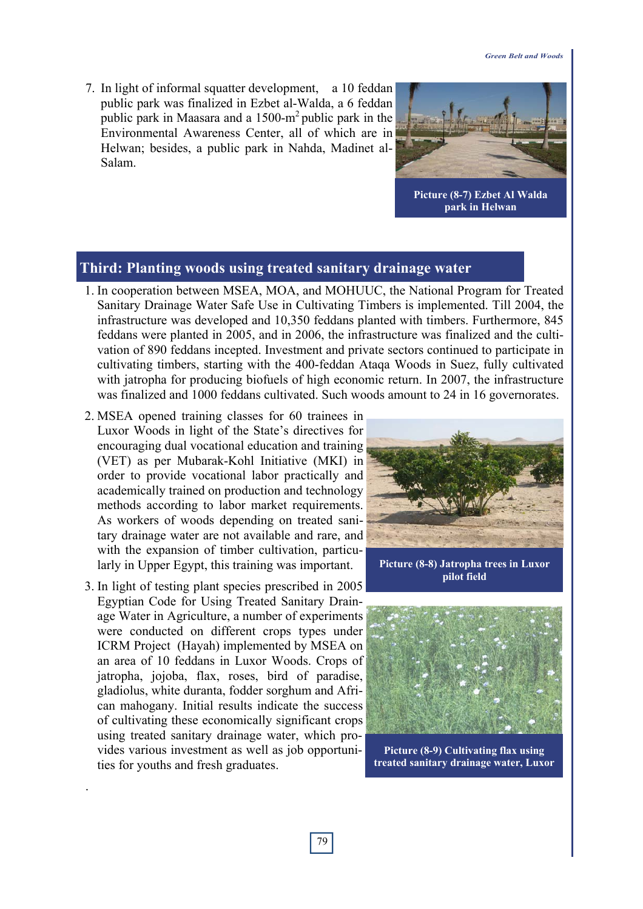7. In light of informal squatter development, a 10 feddan public park was finalized in Ezbet al-Walda, a 6 feddan public park in Maasara and a  $1500 \text{--} m^2$  public park in the Environmental Awareness Center, all of which are in Helwan; besides, a public park in Nahda, Madinet al-Salam.



**Picture (8-7) Ezbet Al Walda park in Helwan** 

#### **Third: Planting woods using treated sanitary drainage water**

- 1. In cooperation between MSEA, MOA, and MOHUUC, the National Program for Treated Sanitary Drainage Water Safe Use in Cultivating Timbers is implemented. Till 2004, the infrastructure was developed and 10,350 feddans planted with timbers. Furthermore, 845 feddans were planted in 2005, and in 2006, the infrastructure was finalized and the cultivation of 890 feddans incepted. Investment and private sectors continued to participate in cultivating timbers, starting with the 400-feddan Ataqa Woods in Suez, fully cultivated with jatropha for producing biofuels of high economic return. In 2007, the infrastructure was finalized and 1000 feddans cultivated. Such woods amount to 24 in 16 governorates.
- 2. MSEA opened training classes for 60 trainees in Luxor Woods in light of the State's directives for encouraging dual vocational education and training (VET) as per Mubarak-Kohl Initiative (MKI) in order to provide vocational labor practically and academically trained on production and technology methods according to labor market requirements. As workers of woods depending on treated sanitary drainage water are not available and rare, and with the expansion of timber cultivation, particularly in Upper Egypt, this training was important.
- 3. In light of testing plant species prescribed in 2005 Egyptian Code for Using Treated Sanitary Drainage Water in Agriculture, a number of experiments were conducted on different crops types under ICRM Project (Hayah) implemented by MSEA on an area of 10 feddans in Luxor Woods. Crops of jatropha, jojoba, flax, roses, bird of paradise, gladiolus, white duranta, fodder sorghum and African mahogany. Initial results indicate the success of cultivating these economically significant crops using treated sanitary drainage water, which provides various investment as well as job opportunities for youths and fresh graduates.

.



**Picture (8-8) Jatropha trees in Luxor pilot field**



**Picture (8-9) Cultivating flax using treated sanitary drainage water, Luxor**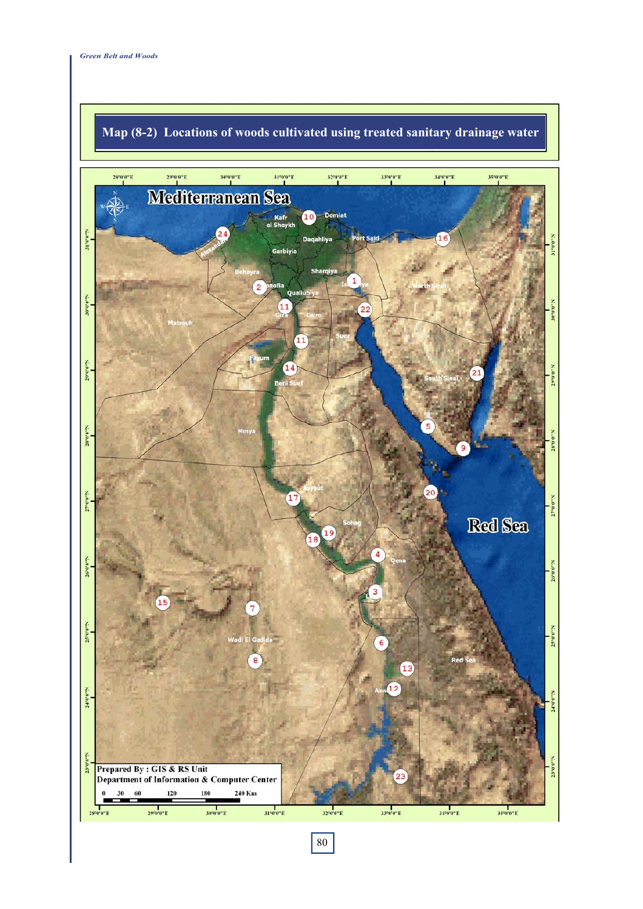

# **Map (8-2) Locations of woods cultivated using treated sanitary drainage water**